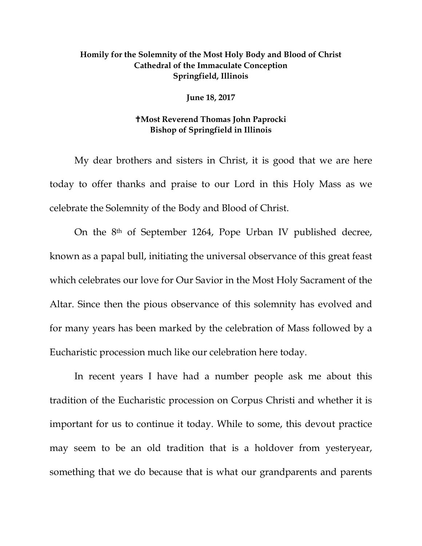## **Homily for the Solemnity of the Most Holy Body and Blood of Christ Cathedral of the Immaculate Conception Springfield, Illinois**

**June 18, 2017** 

## **Most Reverend Thomas John Paprocki Bishop of Springfield in Illinois**

My dear brothers and sisters in Christ, it is good that we are here today to offer thanks and praise to our Lord in this Holy Mass as we celebrate the Solemnity of the Body and Blood of Christ.

On the 8th of September 1264, Pope Urban IV published decree, known as a papal bull, initiating the universal observance of this great feast which celebrates our love for Our Savior in the Most Holy Sacrament of the Altar. Since then the pious observance of this solemnity has evolved and for many years has been marked by the celebration of Mass followed by a Eucharistic procession much like our celebration here today.

In recent years I have had a number people ask me about this tradition of the Eucharistic procession on Corpus Christi and whether it is important for us to continue it today. While to some, this devout practice may seem to be an old tradition that is a holdover from yesteryear, something that we do because that is what our grandparents and parents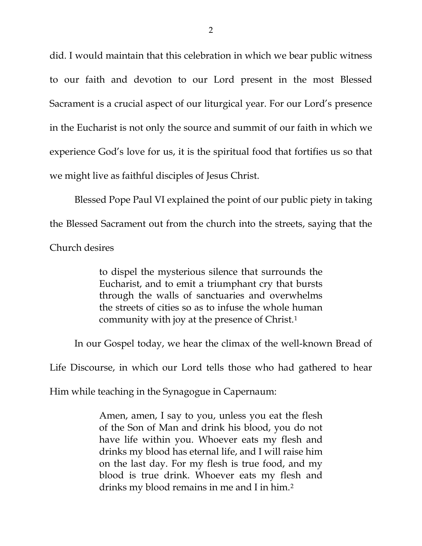did. I would maintain that this celebration in which we bear public witness to our faith and devotion to our Lord present in the most Blessed Sacrament is a crucial aspect of our liturgical year. For our Lord's presence in the Eucharist is not only the source and summit of our faith in which we experience God's love for us, it is the spiritual food that fortifies us so that we might live as faithful disciples of Jesus Christ.

Blessed Pope Paul VI explained the point of our public piety in taking the Blessed Sacrament out from the church into the streets, saying that the Church desires

> to dispel the mysterious silence that surrounds the Eucharist, and to emit a triumphant cry that bursts through the walls of sanctuaries and overwhelms the streets of cities so as to infuse the whole human community with joy at the presence of Christ.[1](#page-5-0)

In our Gospel today, we hear the climax of the well-known Bread of

Life Discourse, in which our Lord tells those who had gathered to hear

Him while teaching in the Synagogue in Capernaum:

Amen, amen, I say to you, unless you eat the flesh of the Son of Man and drink his blood, you do not have life within you. Whoever eats my flesh and drinks my blood has eternal life, and I will raise him on the last day. For my flesh is true food, and my blood is true drink. Whoever eats my flesh and drinks my blood remains in me and I in him.[2](#page-5-1)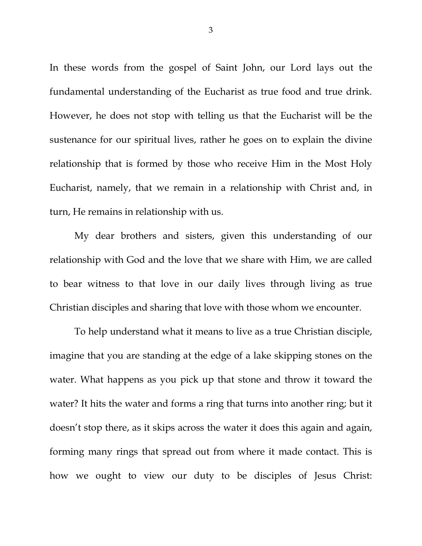In these words from the gospel of Saint John, our Lord lays out the fundamental understanding of the Eucharist as true food and true drink. However, he does not stop with telling us that the Eucharist will be the sustenance for our spiritual lives, rather he goes on to explain the divine relationship that is formed by those who receive Him in the Most Holy Eucharist, namely, that we remain in a relationship with Christ and, in turn, He remains in relationship with us.

My dear brothers and sisters, given this understanding of our relationship with God and the love that we share with Him, we are called to bear witness to that love in our daily lives through living as true Christian disciples and sharing that love with those whom we encounter.

To help understand what it means to live as a true Christian disciple, imagine that you are standing at the edge of a lake skipping stones on the water. What happens as you pick up that stone and throw it toward the water? It hits the water and forms a ring that turns into another ring; but it doesn't stop there, as it skips across the water it does this again and again, forming many rings that spread out from where it made contact. This is how we ought to view our duty to be disciples of Jesus Christ: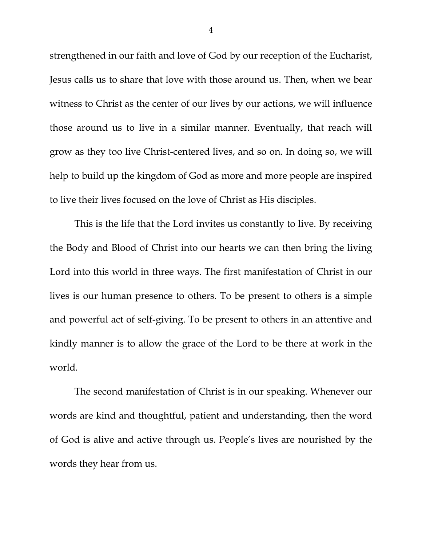strengthened in our faith and love of God by our reception of the Eucharist, Jesus calls us to share that love with those around us. Then, when we bear witness to Christ as the center of our lives by our actions, we will influence those around us to live in a similar manner. Eventually, that reach will grow as they too live Christ-centered lives, and so on. In doing so, we will help to build up the kingdom of God as more and more people are inspired to live their lives focused on the love of Christ as His disciples.

This is the life that the Lord invites us constantly to live. By receiving the Body and Blood of Christ into our hearts we can then bring the living Lord into this world in three ways. The first manifestation of Christ in our lives is our human presence to others. To be present to others is a simple and powerful act of self-giving. To be present to others in an attentive and kindly manner is to allow the grace of the Lord to be there at work in the world.

The second manifestation of Christ is in our speaking. Whenever our words are kind and thoughtful, patient and understanding, then the word of God is alive and active through us. People's lives are nourished by the words they hear from us.

4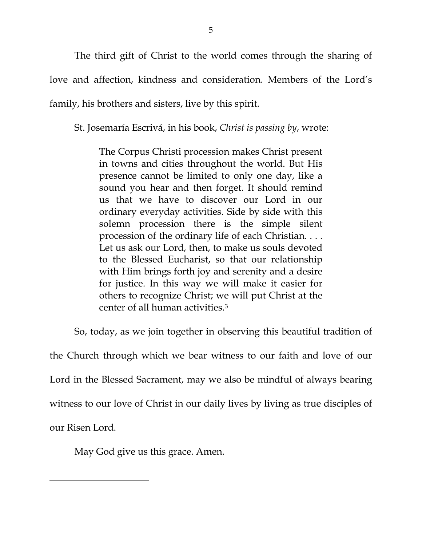The third gift of Christ to the world comes through the sharing of love and affection, kindness and consideration. Members of the Lord's family, his brothers and sisters, live by this spirit.

St. Josemaría Escrivá, in his book, *Christ is passing by*, wrote:

The Corpus Christi procession makes Christ present in towns and cities throughout the world. But His presence cannot be limited to only one day, like a sound you hear and then forget. It should remind us that we have to discover our Lord in our ordinary everyday activities. Side by side with this solemn procession there is the simple silent procession of the ordinary life of each Christian. . . . Let us ask our Lord, then, to make us souls devoted to the Blessed Eucharist, so that our relationship with Him brings forth joy and serenity and a desire for justice. In this way we will make it easier for others to recognize Christ; we will put Christ at the center of all human activities.[3](#page-5-2)

So, today, as we join together in observing this beautiful tradition of

the Church through which we bear witness to our faith and love of our Lord in the Blessed Sacrament, may we also be mindful of always bearing witness to our love of Christ in our daily lives by living as true disciples of our Risen Lord.

May God give us this grace. Amen.

 $\overline{\phantom{a}}$